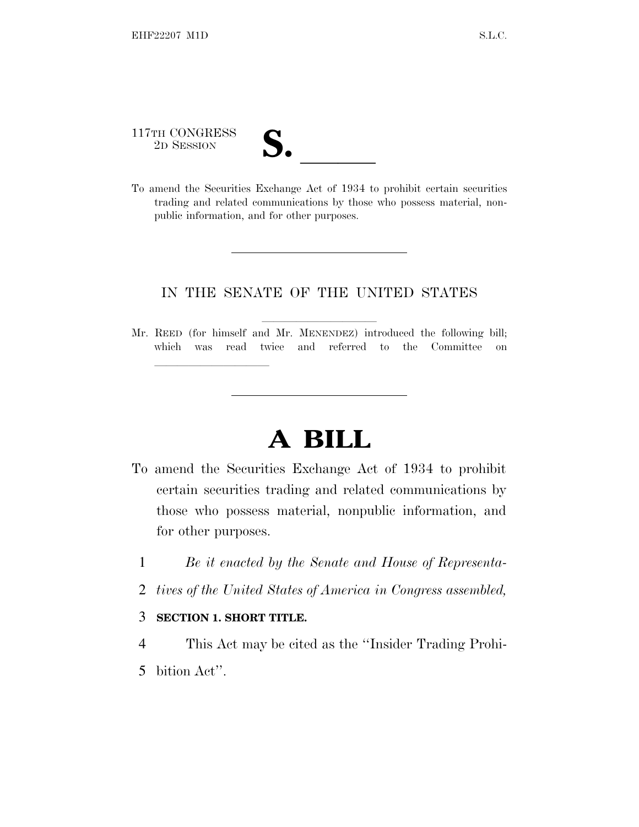117TH CONGRESS

lland and a state of the state of the state of the state of the state of the state of the state of the state o

public information, and for other purposes.

117TH CONGRESS<br>
2D SESSION<br>
To amend the Securities Exchange Act of 1934 to prohibit certain securities trading and related communications by those who possess material, non-

## IN THE SENATE OF THE UNITED STATES

Mr. REED (for himself and Mr. MENENDEZ) introduced the following bill; which was read twice and referred to the Committee on

# **A BILL**

- To amend the Securities Exchange Act of 1934 to prohibit certain securities trading and related communications by those who possess material, nonpublic information, and for other purposes.
	- 1 *Be it enacted by the Senate and House of Representa-*
	- 2 *tives of the United States of America in Congress assembled,*

#### 3 **SECTION 1. SHORT TITLE.**

- 4 This Act may be cited as the ''Insider Trading Prohi-
- 5 bition Act''.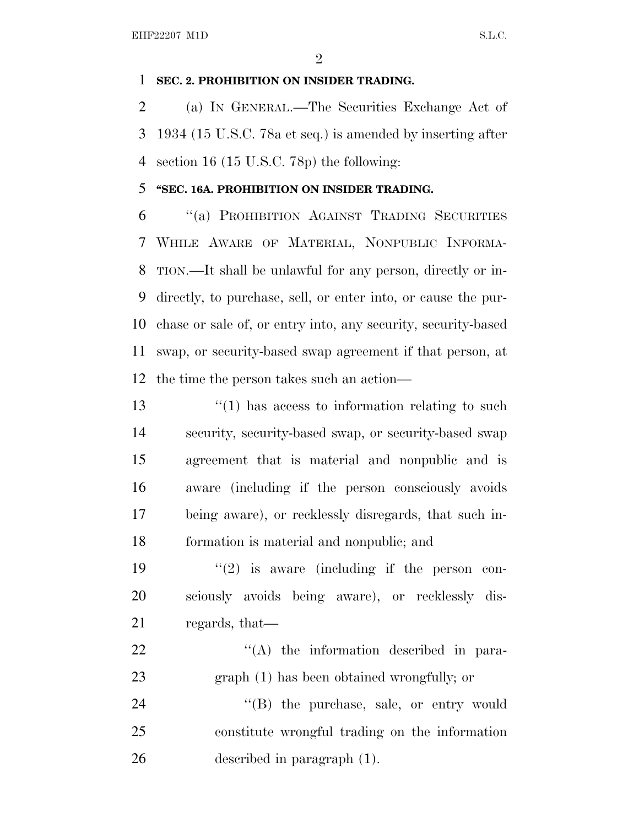#### **SEC. 2. PROHIBITION ON INSIDER TRADING.**

 (a) I<sup>N</sup> GENERAL.—The Securities Exchange Act of 1934 (15 U.S.C. 78a et seq.) is amended by inserting after section 16 (15 U.S.C. 78p) the following:

### **''SEC. 16A. PROHIBITION ON INSIDER TRADING.**

 ''(a) PROHIBITION AGAINST TRADING SECURITIES WHILE AWARE OF MATERIAL, NONPUBLIC INFORMA- TION.—It shall be unlawful for any person, directly or in- directly, to purchase, sell, or enter into, or cause the pur- chase or sale of, or entry into, any security, security-based swap, or security-based swap agreement if that person, at the time the person takes such an action—

13 ''(1) has access to information relating to such security, security-based swap, or security-based swap agreement that is material and nonpublic and is aware (including if the person consciously avoids being aware), or recklessly disregards, that such in-formation is material and nonpublic; and

19  $(2)$  is aware (including if the person con- sciously avoids being aware), or recklessly dis-regards, that—

22  $\langle (A)$  the information described in para-graph (1) has been obtained wrongfully; or

24 "(B) the purchase, sale, or entry would constitute wrongful trading on the information described in paragraph (1).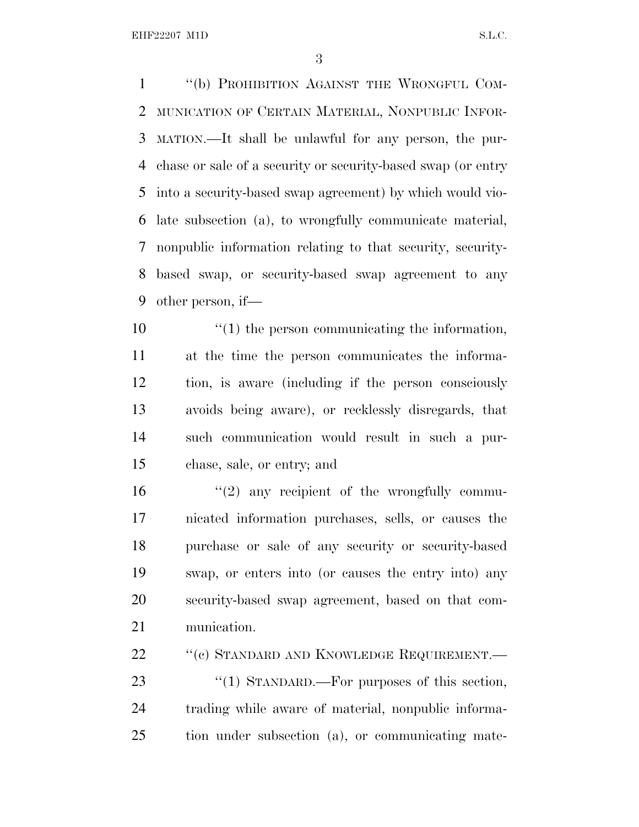EHF22207 M1D S.L.C.

 ''(b) PROHIBITION AGAINST THE WRONGFUL COM- MUNICATION OF CERTAIN MATERIAL, NONPUBLIC INFOR- MATION.—It shall be unlawful for any person, the pur- chase or sale of a security or security-based swap (or entry into a security-based swap agreement) by which would vio- late subsection (a), to wrongfully communicate material, nonpublic information relating to that security, security- based swap, or security-based swap agreement to any other person, if—

 $\frac{u(1)}{v(1)}$  the person communicating the information, at the time the person communicates the informa- tion, is aware (including if the person consciously avoids being aware), or recklessly disregards, that such communication would result in such a pur-chase, sale, or entry; and

 $(2)$  any recipient of the wrongfully commu- nicated information purchases, sells, or causes the purchase or sale of any security or security-based swap, or enters into (or causes the entry into) any security-based swap agreement, based on that com-munication.

22 "(c) STANDARD AND KNOWLEDGE REQUIREMENT.—

23 "(1) STANDARD.—For purposes of this section, trading while aware of material, nonpublic informa-tion under subsection (a), or communicating mate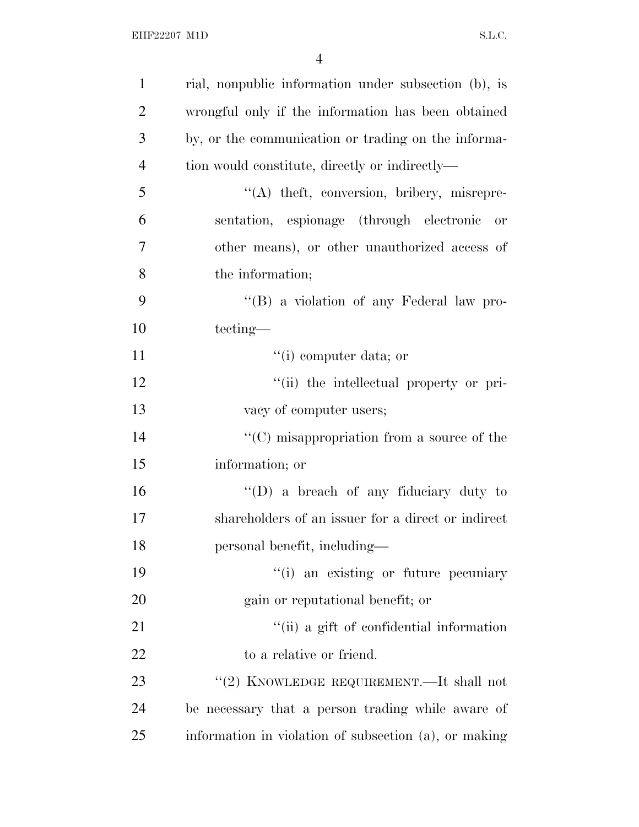| $\mathbf{1}$   | rial, nonpublic information under subsection (b), is  |
|----------------|-------------------------------------------------------|
| $\overline{2}$ | wrongful only if the information has been obtained    |
| 3              | by, or the communication or trading on the informa-   |
| $\overline{4}$ | tion would constitute, directly or indirectly—        |
| 5              | "(A) theft, conversion, bribery, misrepre-            |
| 6              | sentation, espionage (through electronic or           |
| $\overline{7}$ | other means), or other unauthorized access of         |
| 8              | the information;                                      |
| 9              | "(B) a violation of any Federal law pro-              |
| 10             | tecting—                                              |
| 11             | $``(i)$ computer data; or                             |
| 12             | "(ii) the intellectual property or pri-               |
| 13             | vacy of computer users;                               |
| 14             | " $(C)$ misappropriation from a source of the         |
| 15             | information; or                                       |
| 16             | $\lq\lq$ (D) a breach of any fiduciary duty to        |
| 17             | shareholders of an issuer for a direct or indirect    |
| 18             | personal benefit, including—                          |
| 19             | "(i) an existing or future pecuniary                  |
| 20             | gain or reputational benefit; or                      |
| 21             | "(ii) a gift of confidential information              |
| 22             | to a relative or friend.                              |
| 23             | "(2) KNOWLEDGE REQUIREMENT.—It shall not              |
| 24             | be necessary that a person trading while aware of     |
| 25             | information in violation of subsection (a), or making |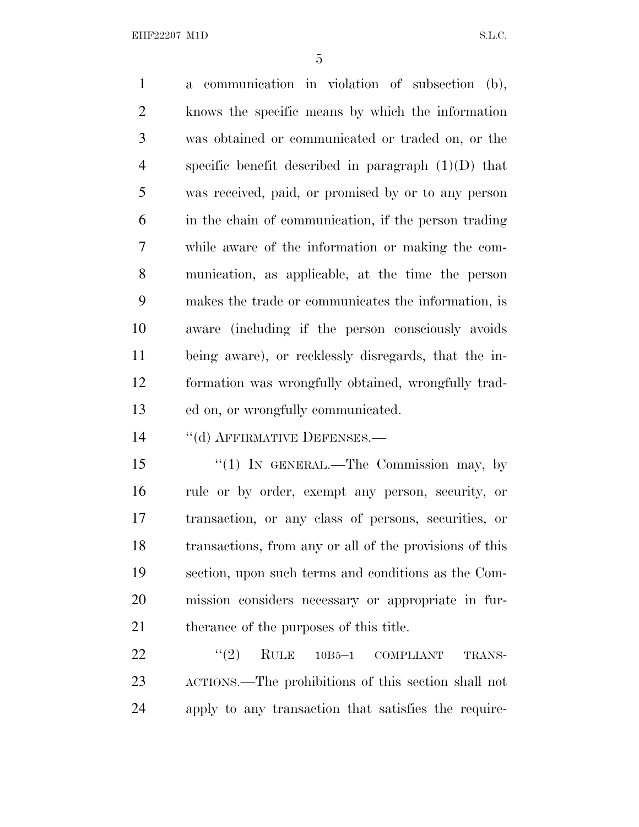EHF22207 M1D S.L.C.

 a communication in violation of subsection (b), knows the specific means by which the information was obtained or communicated or traded on, or the specific benefit described in paragraph (1)(D) that was received, paid, or promised by or to any person in the chain of communication, if the person trading while aware of the information or making the com- munication, as applicable, at the time the person makes the trade or communicates the information, is aware (including if the person consciously avoids being aware), or recklessly disregards, that the in- formation was wrongfully obtained, wrongfully trad-ed on, or wrongfully communicated.

14 "(d) AFFIRMATIVE DEFENSES.—

15 "(1) IN GENERAL.—The Commission may, by rule or by order, exempt any person, security, or transaction, or any class of persons, securities, or transactions, from any or all of the provisions of this section, upon such terms and conditions as the Com- mission considers necessary or appropriate in fur-21 therance of the purposes of this title.

  $(2)$  RULE 10B5-1 COMPLIANT TRANS- ACTIONS.—The prohibitions of this section shall not apply to any transaction that satisfies the require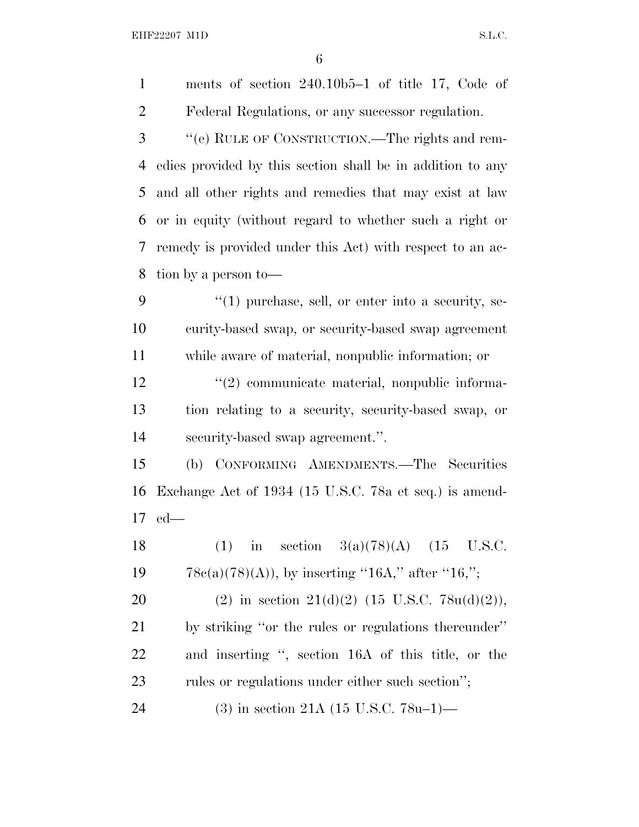EHF22207 M1D S.L.C.

 ments of section 240.10b5–1 of title 17, Code of Federal Regulations, or any successor regulation. ''(e) RULE OF CONSTRUCTION.—The rights and rem- edies provided by this section shall be in addition to any and all other rights and remedies that may exist at law or in equity (without regard to whether such a right or remedy is provided under this Act) with respect to an ac- tion by a person to— ''(1) purchase, sell, or enter into a security, se- curity-based swap, or security-based swap agreement while aware of material, nonpublic information; or  $\frac{12}{2}$  communicate material, nonpublic informa- tion relating to a security, security-based swap, or security-based swap agreement.''. (b) CONFORMING AMENDMENTS.—The Securities Exchange Act of 1934 (15 U.S.C. 78a et seq.) is amend- ed— 18 (1) in section  $3(a)(78)(A)$  (15 U.S.C.  $78c(a)(78)(A)$ , by inserting "16A," after "16,"; 20 (2) in section  $21(d)(2)$  (15 U.S.C. 78u(d)(2)), by striking ''or the rules or regulations thereunder'' and inserting '', section 16A of this title, or the 23 rules or regulations under either such section"; (3) in section 21A (15 U.S.C. 78u–1)—